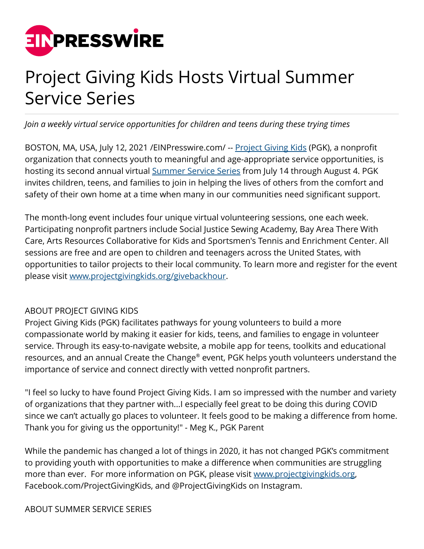

## Project Giving Kids Hosts Virtual Summer Service Series

*Join a weekly virtual service opportunities for children and teens during these trying times*

BOSTON, MA, USA, July 12, 2021 / EINPresswire.com/ -- [Project Giving Kids](http://www.projectgivingkids.org) (PGK), a nonprofit organization that connects youth to meaningful and age-appropriate service opportunities, is hosting its second annual virtual [Summer Service Series](http://www.projectgivingkids.org/givebackhour) from July 14 through August 4. PGK invites children, teens, and families to join in helping the lives of others from the comfort and safety of their own home at a time when many in our communities need significant support.

The month-long event includes four unique virtual volunteering sessions, one each week. Participating nonprofit partners include Social Justice Sewing Academy, Bay Area There With Care, Arts Resources Collaborative for Kids and Sportsmen's Tennis and Enrichment Center. All sessions are free and are open to children and teenagers across the United States, with opportunities to tailor projects to their local community. To learn more and register for the event please visit [www.projectgivingkids.org/givebackhour](http://www.projectgivingkids.org/givebackhour).

## ABOUT PROJECT GIVING KIDS

Project Giving Kids (PGK) facilitates pathways for young volunteers to build a more compassionate world by making it easier for kids, teens, and families to engage in volunteer service. Through its easy-to-navigate website, a mobile app for teens, toolkits and educational resources, and an annual Create the Change® event, PGK helps youth volunteers understand the importance of service and connect directly with vetted nonprofit partners.

"I feel so lucky to have found Project Giving Kids. I am so impressed with the number and variety of organizations that they partner with...I especially feel great to be doing this during COVID since we can't actually go places to volunteer. It feels good to be making a difference from home. Thank you for giving us the opportunity!" - Meg K., PGK Parent

While the pandemic has changed a lot of things in 2020, it has not changed PGK's commitment to providing youth with opportunities to make a difference when communities are struggling more than ever. For more information on PGK, please visit [www.projectgivingkids.org,](http://www.projectgivingkids.org) Facebook.com/ProjectGivingKids, and @ProjectGivingKids on Instagram.

ABOUT SUMMER SERVICE SERIES